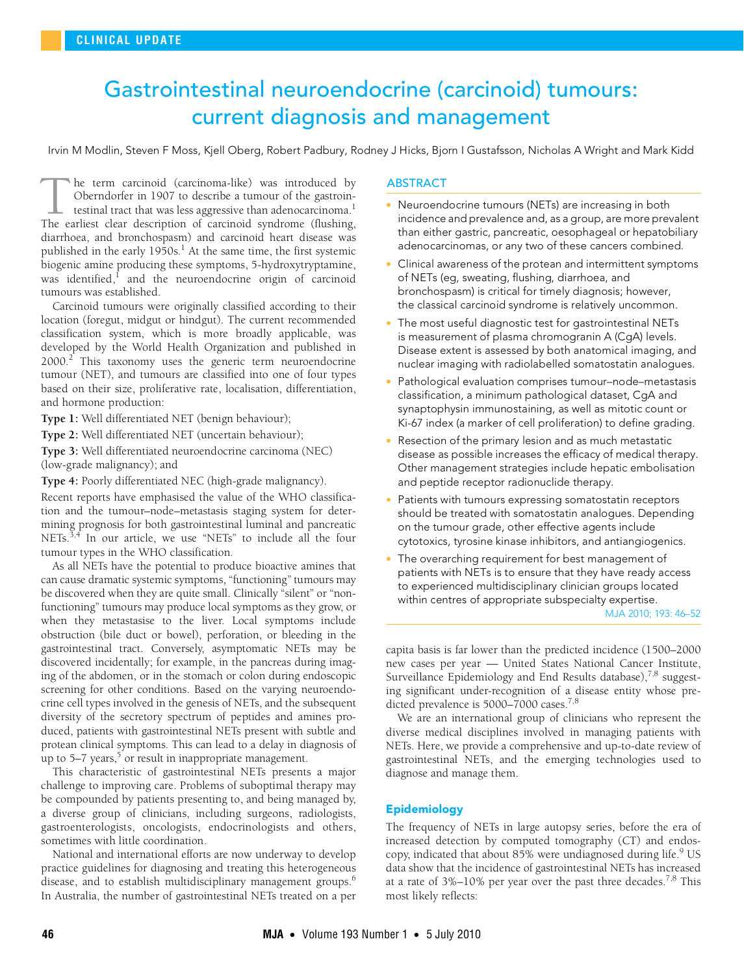# <span id="page-0-0"></span>Gastrointestinal neuroendocrine (carcinoid) tumours: current diagnosis and management

Irvin M Modlin, Steven F Moss, Kjell Oberg, Robert Padbury, Rodney J Hicks, Bjorn I Gustafsson, Nicholas A Wright and Mark Kidd

was identified, $\frac{1}{1}$  and the neuroendocrine origin of carcinoid  $\frac{1}{2}$   $\frac{1}{2}$ he term carcinoid (carcinoma-like) was introduced by Oberndorfer in 1907 to describe a tumour of the gastroin-- testinal tract that was less aggressive than adenocarcinoma.<sup>[1](#page-5-0)</sup> The term carcinoid (carcinoma-like) was introduced by Oberndorfer in 1907 to describe a tumour of the gastrointestinal tract that was less aggressive than adenocarcinoma.<sup>1</sup> The earliest clear description of carcinoid synd diarrhoea, and bronchospasm) and carcinoid heart disease was published in the early [1](#page-5-0)950s.<sup>1</sup> At the same time, the first systemic biogenic amine producing these symptoms, 5-hydroxytryptamine, tumours was established.

Carcinoid tumours were originally classified according to their location (foregut, midgut or hindgut). The current recommended classification system, which is more broadly applicable, was developed by the World Health Organization and published in [2](#page-5-1)000.<sup>2</sup> This taxonomy uses the generic term neuroendocrine tumour (NET), and tumours are classified into one of four types based on their size, proliferative rate, localisation, differentiation, and hormone production:

**Type 1:** Well differentiated NET (benign behaviour);

**Type 2:** Well differentiated NET (uncertain behaviour);

**Type 3:** Well differentiated neuroendocrine carcinoma (NEC) (low-grade malignancy); and

**Type 4:** Poorly differentiated NEC (high-grade malignancy).

Recent reports have emphasised the value of the WHO classification and the tumour–node–metastasis staging system for determining prognosis for both gastrointestinal luminal and pancreatic NETs.<sup>[3](#page-5-2),[4](#page-5-3)</sup> In our article, we use "NETs" to include all the four tumour types in the WHO classification.

As all NETs have the potential to produce bioactive amines that can cause dramatic systemic symptoms, "functioning" tumours may be discovered when they are quite small. Clinically "silent" or "nonfunctioning" tumours may produce local symptoms as they grow, or when they metastasise to the liver. Local symptoms include obstruction (bile duct or bowel), perforation, or bleeding in the gastrointestinal tract. Conversely, asymptomatic NETs may be discovered incidentally; for example, in the pancreas during imaging of the abdomen, or in the stomach or colon during endoscopic screening for other conditions. Based on the varying neuroendocrine cell types involved in the genesis of NETs, and the subsequent diversity of the secretory spectrum of peptides and amines produced, patients with gastrointestinal NETs present with subtle and protean clinical symptoms. This can lead to a delay in diagnosis of up to [5](#page-5-4)–7 years, $5$  or result in inappropriate management.

This characteristic of gastrointestinal NETs presents a major challenge to improving care. Problems of suboptimal therapy may be compounded by patients presenting to, and being managed by, a diverse group of clinicians, including surgeons, radiologists, gastroenterologists, oncologists, endocrinologists and others, sometimes with little coordination.

National and international efforts are now underway to develop practice guidelines for diagnosing and treating this heterogeneous disease, and to establish multidisciplinary management groups.<sup>[6](#page-5-5)</sup> In Australia, the number of gastrointestinal NETs treated on a per

## **ABSTRACT**

- Neuroendocrine tumours (NETs) are increasing in both incidence and prevalence and, as a group, are more prevalent than either gastric, pancreatic, oesophageal or hepatobiliary adenocarcinomas, or any two of these cancers combined.
- Clinical awareness of the protean and intermittent symptoms of NETs (eg, sweating, flushing, diarrhoea, and bronchospasm) is critical for timely diagnosis; however, the classical carcinoid syndrome is relatively uncommon.
- The most useful diagnostic test for gastrointestinal NETs is measurement of plasma chromogranin A (CgA) levels. Disease extent is assessed by both anatomical imaging, and nuclear imaging with radiolabelled somatostatin analogues.
- Pathological evaluation comprises tumour–node–metastasis classification, a minimum pathological dataset, CgA and synaptophysin immunostaining, as well as mitotic count or Ki-67 index (a marker of cell proliferation) to define grading.
- Resection of the primary lesion and as much metastatic disease as possible increases the efficacy of medical therapy. Other management strategies include hepatic embolisation and peptide receptor radionuclide therapy.
- Patients with tumours expressing somatostatin receptors should be treated with somatostatin analogues. Depending on the tumour grade, other effective agents include cytotoxics, tyrosine kinase inhibitors, and antiangiogenics.
- The overarching requirement for best management of patients with NETs is to ensure that they have ready access to experienced multidisciplinary clinician groups located within centres of appropriate subspecialty expertise.

MJA 2010; 193: 46–52

capita basis is far lower than the predicted incidence (1500–2000 new cases per year — United States National Cancer Institute, Surveillance Epidemiology and End Results database),<sup>[7](#page-5-6),8</sup> suggesting significant under-recognition of a disease entity whose pre-dicted prevalence is 5000–7000 cases.<sup>[7,](#page-5-6)[8](#page-5-7)</sup>

We are an international group of clinicians who represent the diverse medical disciplines involved in managing patients with NETs. Here, we provide a comprehensive and up-to-date review of gastrointestinal NETs, and the emerging technologies used to diagnose and manage them.

## Epidemiology

The frequency of NETs in large autopsy series, before the era of increased detection by computed tomography (CT) and endos-copy, indicated that about 85% were undiagnosed during life.<sup>[9](#page-5-8)</sup> US data show that the incidence of gastrointestinal NETs has increased at a rate of  $3\%$ -10% per year over the past three decades.<sup>[7](#page-5-6)[,8](#page-5-7)</sup> This most likely reflects: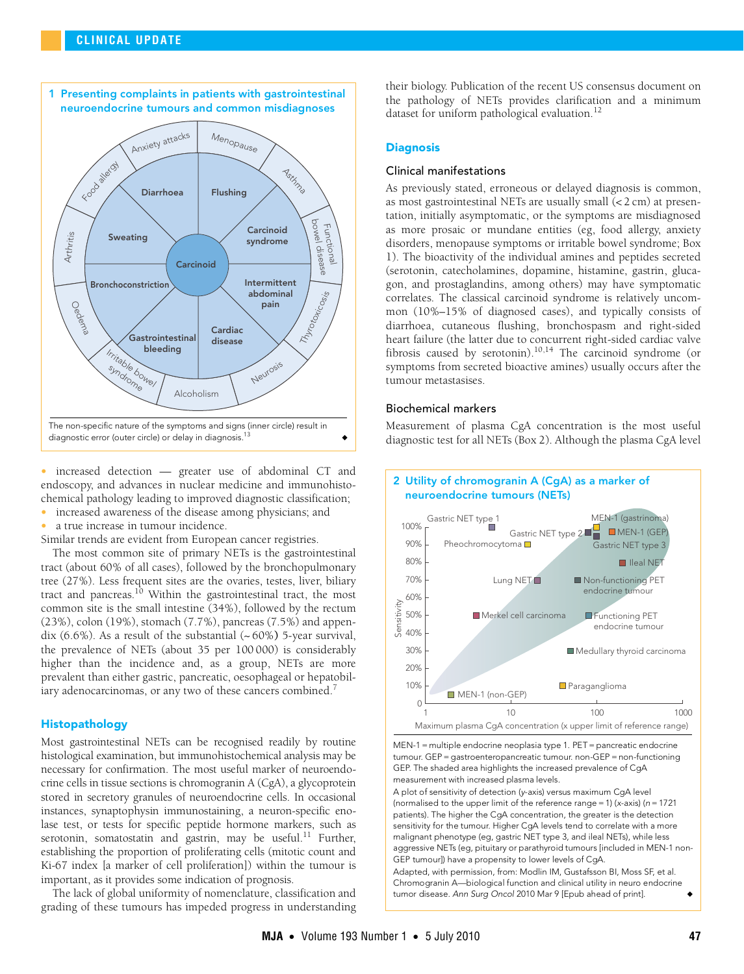

• increased detection — greater use of abdominal CT and endoscopy, and advances in nuclear medicine and immunohistochemical pathology leading to improved diagnostic classification;

- increased awareness of the disease among physicians; and
- a true increase in tumour incidence.

Similar trends are evident from European cancer registries.

The most common site of primary NETs is the gastrointestinal tract (about 60% of all cases), followed by the bronchopulmonary tree (27%). Less frequent sites are the ovaries, testes, liver, biliary tract and pancreas.<sup>10</sup> Within the gastrointestinal tract, the most common site is the small intestine (34%), followed by the rectum (23%), colon (19%), stomach (7.7%), pancreas (7.5%) and appendix  $(6.6\%)$ . As a result of the substantial  $(~60\%)$  5-year survival, the prevalence of NETs (about 35 per 100 000) is considerably higher than the incidence and, as a group, NETs are more prevalent than either gastric, pancreatic, oesophageal or hepatobil-iary adenocarcinomas, or any two of these cancers combined.<sup>[7](#page-5-6)</sup>

## Histopathology

Most gastrointestinal NETs can be recognised readily by routine histological examination, but immunohistochemical analysis may be necessary for confirmation. The most useful marker of neuroendocrine cells in tissue sections is chromogranin A (CgA), a glycoprotein stored in secretory granules of neuroendocrine cells. In occasional instances, synaptophysin immunostaining, a neuron-specific enolase test, or tests for specific peptide hormone markers, such as serotonin, somatostatin and gastrin, may be useful. $^{11}$  Further, establishing the proportion of proliferating cells (mitotic count and Ki-67 index [a marker of cell proliferation]) within the tumour is important, as it provides some indication of prognosis.

The lack of global uniformity of nomenclature, classification and grading of these tumours has impeded progress in understanding their biology. Publication of the recent US consensus document on the pathology of NETs provides clarification and a minimum dataset for uniform pathological evaluation.<sup>[12](#page-5-11)</sup>

## **Diagnosis**

## Clinical manifestations

As previously stated, erroneous or delayed diagnosis is common, as most gastrointestinal NETs are usually small (< 2 cm) at presentation, initially asymptomatic, or the symptoms are misdiagnosed as more prosaic or mundane entities (eg, food allergy, anxiety disorders, menopause symptoms or irritable bowel syndrome; Box 1). The bioactivity of the individual amines and peptides secreted (serotonin, catecholamines, dopamine, histamine, gastrin, glucagon, and prostaglandins, among others) may have symptomatic correlates. The classical carcinoid syndrome is relatively uncommon (10%–15% of diagnosed cases), and typically consists of diarrhoea, cutaneous flushing, bronchospasm and right-sided heart failure (the latter due to concurrent right-sided cardiac valve fibrosis caused by serotonin).<sup>10,14</sup> The carcinoid syndrome (or symptoms from secreted bioactive amines) usually occurs after the tumour metastasises.

## Biochemical markers

Measurement of plasma CgA concentration is the most useful diagnostic test for all NETs (Box 2). Although the plasma CgA level



MEN-1 = multiple endocrine neoplasia type 1. PET = pancreatic endocrine tumour. GEP = gastroenteropancreatic tumour. non-GEP = non-functioning GEP. The shaded area highlights the increased prevalence of CgA measurement with increased plasma levels.

A plot of sensitivity of detection (y-axis) versus maximum CgA level (normalised to the upper limit of the reference range = 1) (x-axis) ( $n = 1721$ patients). The higher the CgA concentration, the greater is the detection sensitivity for the tumour. Higher CgA levels tend to correlate with a more malignant phenotype (eg, gastric NET type 3, and ileal NETs), while less aggressive NETs (eg, pituitary or parathyroid tumours [included in MEN-1 non-GEP tumour]) have a propensity to lower levels of CgA.

Adapted, with permission, from: Modlin IM, Gustafsson BI, Moss SF, et al. Chromogranin A—biological function and clinical utility in neuro endocrine tumor disease. Ann Surg Oncol 2010 Mar 9 [Epub ahead of print].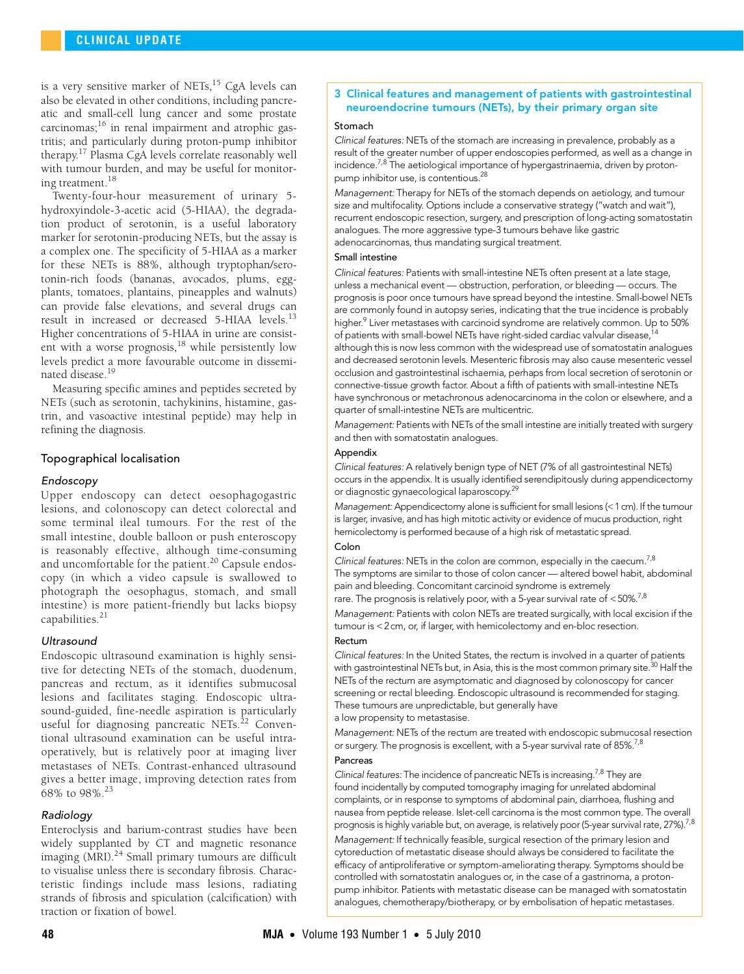is a very sensitive marker of NETs, $^{15}$  CgA levels can also be elevated in other conditions, including pancreatic and small-cell lung cancer and some prostate carcinomas; $^{16}$  in renal impairment and atrophic gastritis; and particularly during proton-pump inhibitor therapy.[17](#page-6-5) Plasma CgA levels correlate reasonably well with tumour burden, and may be useful for monitoring treatment[.18](#page-6-6)

Twenty-four-hour measurement of urinary 5 hydroxyindole-3-acetic acid (5-HIAA), the degradation product of serotonin, is a useful laboratory marker for serotonin-producing NETs, but the assay is a complex one. The specificity of 5-HIAA as a marker for these NETs is 88%, although tryptophan/serotonin-rich foods (bananas, avocados, plums, eggplants, tomatoes, plantains, pineapples and walnuts) can provide false elevations, and several drugs can result in increased or decreased 5-HIAA levels.<sup>[13](#page-6-1)</sup> Higher concentrations of 5-HIAA in urine are consistent with a worse prognosis,<sup>18</sup> while persistently low levels predict a more favourable outcome in dissemi-nated disease.<sup>[19](#page-6-7)</sup>

Measuring specific amines and peptides secreted by NETs (such as serotonin, tachykinins, histamine, gastrin, and vasoactive intestinal peptide) may help in refining the diagnosis.

## Topographical localisation

## Endoscopy

Upper endoscopy can detect oesophagogastric lesions, and colonoscopy can detect colorectal and some terminal ileal tumours. For the rest of the small intestine, double balloon or push enteroscopy is reasonably effective, although time-consuming and uncomfortable for the patient.<sup>20</sup> Capsule endoscopy (in which a video capsule is swallowed to photograph the oesophagus, stomach, and small intestine) is more patient-friendly but lacks biopsy capabilities.<sup>[21](#page-6-11)</sup>

## Ultrasound

Endoscopic ultrasound examination is highly sensitive for detecting NETs of the stomach, duodenum, pancreas and rectum, as it identifies submucosal lesions and facilitates staging. Endoscopic ultrasound-guided, fine-needle aspiration is particularly useful for diagnosing pancreatic NETs.<sup>[22](#page-6-12)</sup> Conventional ultrasound examination can be useful intraoperatively, but is relatively poor at imaging liver metastases of NETs. Contrast-enhanced ultrasound gives a better image, improving detection rates from 68% to 98%.[23](#page-6-13)

## Radiology

Enteroclysis and barium-contrast studies have been widely supplanted by CT and magnetic resonance imaging  $(MRI)$ .<sup>[24](#page-6-14)</sup> Small primary tumours are difficult to visualise unless there is secondary fibrosis. Characteristic findings include mass lesions, radiating strands of fibrosis and spiculation (calcification) with traction or fixation of bowel.

## 3 Clinical features and management of patients with gastrointestinal neuroendocrine tumours (NETs), by their primary organ site

#### Stomach

Clinical features: NETs of the stomach are increasing in prevalence, probably as a result of the greater number of upper endoscopies performed, as well as a change in incidence.<sup>7,[8](#page-5-7)</sup> The aetiological importance of hypergastrinaemia, driven by protonpump inhibitor use, is contentious.<sup>28</sup>

Management: Therapy for NETs of the stomach depends on aetiology, and tumour size and multifocality. Options include a conservative strategy ("watch and wait"), recurrent endoscopic resection, surgery, and prescription of long-acting somatostatin analogues. The more aggressive type-3 tumours behave like gastric adenocarcinomas, thus mandating surgical treatment.

#### Small intestine

Clinical features: Patients with small-intestine NETs often present at a late stage, unless a mechanical event — obstruction, perforation, or bleeding — occurs. The prognosis is poor once tumours have spread beyond the intestine. Small-bowel NETs are commonly found in autopsy series, indicating that the true incidence is probably higher.<sup>[9](#page-5-8)</sup> Liver metastases with carcinoid syndrome are relatively common. Up to 50% of patients with small-bowel NETs have right-sided cardiac valvular disease,<sup>14</sup> although this is now less common with the widespread use of somatostatin analogues and decreased serotonin levels. Mesenteric fibrosis may also cause mesenteric vessel occlusion and gastrointestinal ischaemia, perhaps from local secretion of serotonin or connective-tissue growth factor. About a fifth of patients with small-intestine NETs have synchronous or metachronous adenocarcinoma in the colon or elsewhere, and a quarter of small-intestine NETs are multicentric.

Management: Patients with NETs of the small intestine are initially treated with surgery and then with somatostatin analogues.

## Appendix

Clinical features: A relatively benign type of NET (7% of all gastrointestinal NETs) occurs in the appendix. It is usually identified serendipitously during appendicectomy or diagnostic gynaecological laparoscopy[.29](#page-6-15)

Management: Appendicectomy alone is sufficient for small lesions (<1 cm). If the tumour is larger, invasive, and has high mitotic activity or evidence of mucus production, right hemicolectomy is performed because of a high risk of metastatic spread.

# Colon

Clinical features: NETs in the colon are common, especially in the caecum.<sup>7,[8](#page-5-7)</sup> The symptoms are similar to those of colon cancer — altered bowel habit, abdominal pain and bleeding. Concomitant carcinoid syndrome is extremely

rare. The prognosis is relatively poor, with a 5-year survival rate of  $<$  50%.<sup>7,[8](#page-5-7)</sup>

Management: Patients with colon NETs are treated surgically, with local excision if the tumour is <2cm, or, if larger, with hemicolectomy and en-bloc resection.

## Rectum

Clinical features: In the United States, the rectum is involved in a quarter of patients with gastrointestinal NETs but, in Asia, this is the most common primary site.<sup>[30](#page-6-9)</sup> Half the NETs of the rectum are asymptomatic and diagnosed by colonoscopy for cancer screening or rectal bleeding. Endoscopic ultrasound is recommended for staging. These tumours are unpredictable, but generally have

a low propensity to metastasise.

Management: NETs of the rectum are treated with endoscopic submucosal resection or surgery. The prognosis is excellent, with a 5-year survival rate of 85%.<sup>[7](#page-5-6),[8](#page-5-7)</sup>

# Pancreas

Clinical features: The incidence of pancreatic NETs is increasing.<sup>7[,8](#page-5-7)</sup> They are found incidentally by computed tomography imaging for unrelated abdominal complaints, or in response to symptoms of abdominal pain, diarrhoea, flushing and nausea from peptide release. Islet-cell carcinoma is the most common type. The overall prognosis is highly variable but, on average, is relatively poor (5-year survival rate, 27%).<sup>7,[8](#page-5-7)</sup> Management: If technically feasible, surgical resection of the primary lesion and cytoreduction of metastatic disease should always be considered to facilitate the efficacy of antiproliferative or symptom-ameliorating therapy. Symptoms should be controlled with somatostatin analogues or, in the case of a gastrinoma, a protonpump inhibitor. Patients with metastatic disease can be managed with somatostatin analogues, chemotherapy/biotherapy, or by embolisation of hepatic metastases.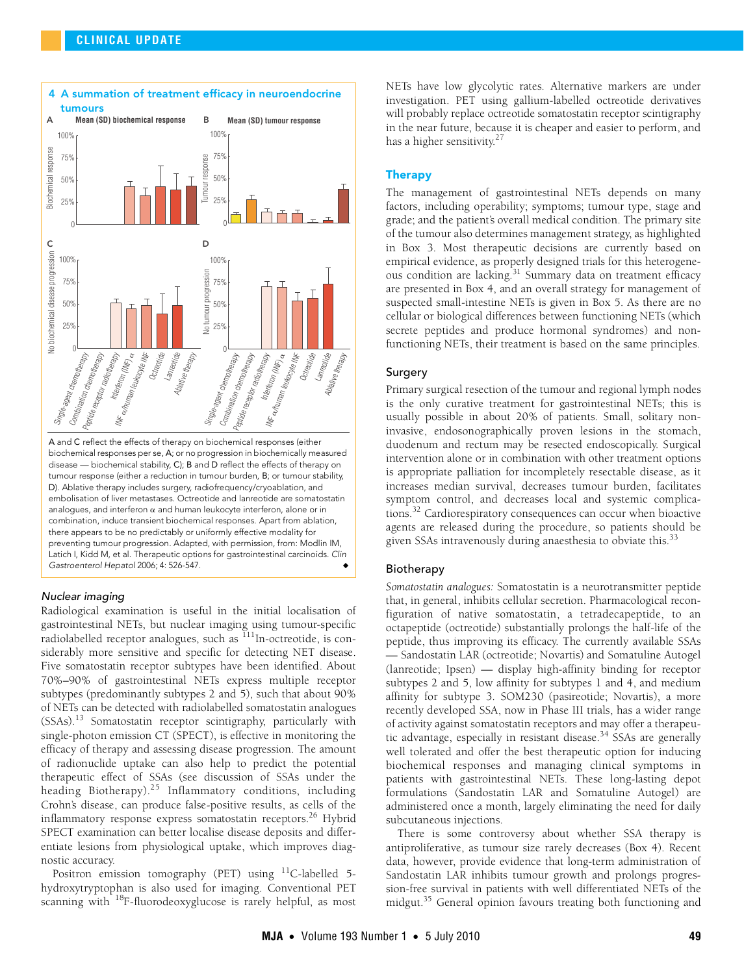

combination, induce transient biochemical responses. Apart from ablation, there appears to be no predictably or uniformly effective modality for preventing tumour progression. Adapted, with permission, from: Modlin IM, Latich I, Kidd M, et al. Therapeutic options for gastrointestinal carcinoids. Clin Gastroenterol Hepatol 2006; 4: 526-547.

## Nuclear imaging

Radiological examination is useful in the initial localisation of gastrointestinal NETs, but nuclear imaging using tumour-specific radiolabelled receptor analogues, such as <sup>111</sup>In-octreotide, is considerably more sensitive and specific for detecting NET disease. Five somatostatin receptor subtypes have been identified. About 70%–90% of gastrointestinal NETs express multiple receptor subtypes (predominantly subtypes 2 and 5), such that about 90% of NETs can be detected with radiolabelled somatostatin analogues (SSAs).[13](#page-6-1) Somatostatin receptor scintigraphy, particularly with single-photon emission CT (SPECT), is effective in monitoring the efficacy of therapy and assessing disease progression. The amount of radionuclide uptake can also help to predict the potential therapeutic effect of SSAs (see discussion of SSAs under the heading Biotherapy).[25](#page-6-16) Inflammatory conditions, including Crohn's disease, can produce false-positive results, as cells of the inflammatory response express somatostatin receptors.<sup>26</sup> Hybrid SPECT examination can better localise disease deposits and differentiate lesions from physiological uptake, which improves diagnostic accuracy.

Positron emission tomography (PET) using  $^{11}$ C-labelled 5hydroxytryptophan is also used for imaging. Conventional PET scanning with <sup>18</sup>F-fluorodeoxyglucose is rarely helpful, as most NETs have low glycolytic rates. Alternative markers are under investigation. PET using gallium-labelled octreotide derivatives will probably replace octreotide somatostatin receptor scintigraphy in the near future, because it is cheaper and easier to perform, and has a higher sensitivity. $27$ 

## Therapy

The management of gastrointestinal NETs depends on many factors, including operability; symptoms; tumour type, stage and grade; and the patient's overall medical condition. The primary site of the tumour also determines management strategy, as highlighted in Box 3. Most therapeutic decisions are currently based on empirical evidence, as properly designed trials for this heterogeneous condition are lacking[.31](#page-6-19) Summary data on treatment efficacy are presented in Box 4, and an overall strategy for management of suspected small-intestine NETs is given in Box 5. As there are no cellular or biological differences between functioning NETs (which secrete peptides and produce hormonal syndromes) and nonfunctioning NETs, their treatment is based on the same principles.

## Surgery

Primary surgical resection of the tumour and regional lymph nodes is the only curative treatment for gastrointestinal NETs; this is usually possible in about 20% of patients. Small, solitary noninvasive, endosonographically proven lesions in the stomach, duodenum and rectum may be resected endoscopically. Surgical intervention alone or in combination with other treatment options is appropriate palliation for incompletely resectable disease, as it increases median survival, decreases tumour burden, facilitates symptom control, and decreases local and systemic complications[.32](#page-6-20) Cardiorespiratory consequences can occur when bioactive agents are released during the procedure, so patients should be given SSAs intravenously during anaesthesia to obviate this.<sup>[33](#page-6-21)</sup>

## Biotherapy

*Somatostatin analogues:* Somatostatin is a neurotransmitter peptide that, in general, inhibits cellular secretion. Pharmacological reconfiguration of native somatostatin, a tetradecapeptide, to an octapeptide (octreotide) substantially prolongs the half-life of the peptide, thus improving its efficacy. The currently available SSAs — Sandostatin LAR (octreotide; Novartis) and Somatuline Autogel (lanreotide; Ipsen) — display high-affinity binding for receptor subtypes 2 and 5, low affinity for subtypes 1 and 4, and medium affinity for subtype 3. SOM230 (pasireotide; Novartis), a more recently developed SSA, now in Phase III trials, has a wider range of activity against somatostatin receptors and may offer a therapeutic advantage, especially in resistant disease.<sup>34</sup> SSAs are generally well tolerated and offer the best therapeutic option for inducing biochemical responses and managing clinical symptoms in patients with gastrointestinal NETs. These long-lasting depot formulations (Sandostatin LAR and Somatuline Autogel) are administered once a month, largely eliminating the need for daily subcutaneous injections.

There is some controversy about whether SSA therapy is antiproliferative, as tumour size rarely decreases (Box 4). Recent data, however, provide evidence that long-term administration of Sandostatin LAR inhibits tumour growth and prolongs progression-free survival in patients with well differentiated NETs of the midgut.<sup>35</sup> General opinion favours treating both functioning and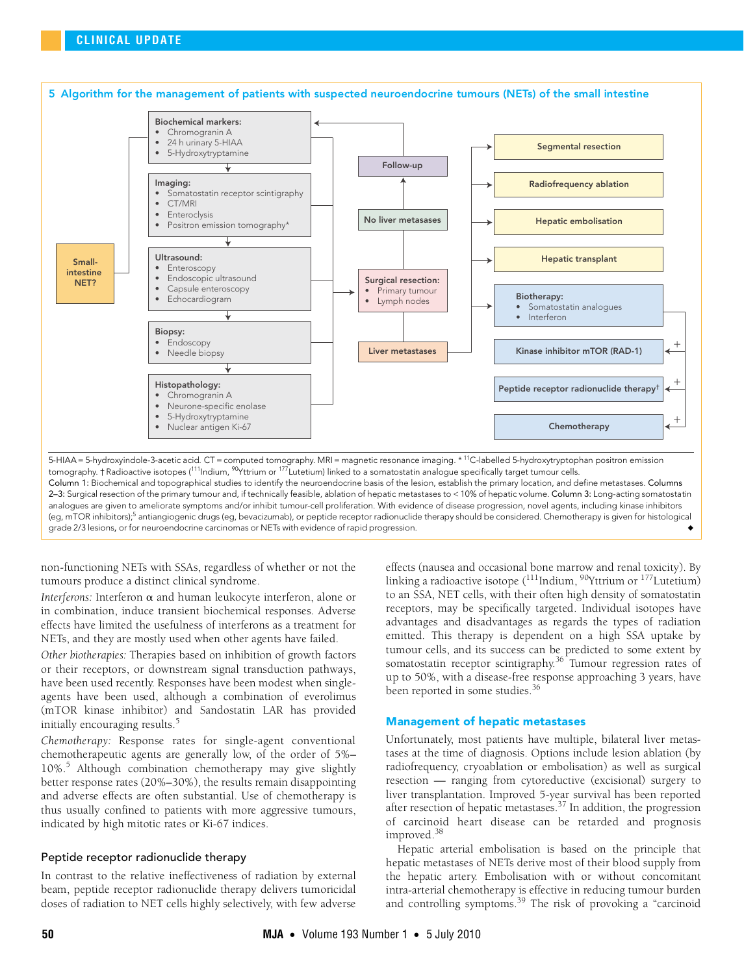

tomography. † Radioactive isotopes (111Indium, 90Yttrium or 177Lutetium) linked to a somatostatin analogue specifically target tumour cells. Column 1: Biochemical and topographical studies to identify the neuroendocrine basis of the lesion, establish the primary location, and define metastases. Columns 2–3: Surgical resection of the primary tumour and, if technically feasible, ablation of hepatic metastases to < 10% of hepatic volume. Column 3: Long-acting somatostatin analogues are given to ameliorate symptoms and/or inhibit tumour-cell proliferation. With evidence of disease progression, novel agents, including kinase inhibitors (eg, mTOR inhibitors)[;5](#page-5-4) antiangiogenic drugs (eg, bevacizumab), or peptide receptor radionuclide therapy should be considered. Chemotherapy is given for histological grade 2/3 lesions, or for neuroendocrine carcinomas or NETs with evidence of rapid progression.

non-functioning NETs with SSAs, regardless of whether or not the tumours produce a distinct clinical syndrome.

*Interferons: Interferon α and human leukocyte interferon, alone or* in combination, induce transient biochemical responses. Adverse effects have limited the usefulness of interferons as a treatment for NETs, and they are mostly used when other agents have failed.

*Other biotherapies:* Therapies based on inhibition of growth factors or their receptors, or downstream signal transduction pathways, have been used recently. Responses have been modest when singleagents have been used, although a combination of everolimus (mTOR kinase inhibitor) and Sandostatin LAR has provided initially encouraging results[.5](#page-5-4)

*Chemotherapy:* Response rates for single-agent conventional chemotherapeutic agents are generally low, of the order of 5%– 10%.<sup>[5](#page-5-4)</sup> Although combination chemotherapy may give slightly better response rates (20%–30%), the results remain disappointing and adverse effects are often substantial. Use of chemotherapy is thus usually confined to patients with more aggressive tumours, indicated by high mitotic rates or Ki-67 indices.

## Peptide receptor radionuclide therapy

In contrast to the relative ineffectiveness of radiation by external beam, peptide receptor radionuclide therapy delivers tumoricidal doses of radiation to NET cells highly selectively, with few adverse effects (nausea and occasional bone marrow and renal toxicity). By linking a radioactive isotope  $\binom{111}{11}$ Indium, <sup>90</sup>Yttrium or  $\frac{177}{11}$ Lutetium) to an SSA, NET cells, with their often high density of somatostatin receptors, may be specifically targeted. Individual isotopes have advantages and disadvantages as regards the types of radiation emitted. This therapy is dependent on a high SSA uptake by tumour cells, and its success can be predicted to some extent by somatostatin receptor scintigraphy.<sup>[36](#page-6-24)</sup> Tumour regression rates of up to 50%, with a disease-free response approaching 3 years, have been reported in some studies.<sup>[36](#page-6-24)</sup>

## Management of hepatic metastases

Unfortunately, most patients have multiple, bilateral liver metastases at the time of diagnosis. Options include lesion ablation (by radiofrequency, cryoablation or embolisation) as well as surgical resection — ranging from cytoreductive (excisional) surgery to liver transplantation. Improved 5-year survival has been reported after resection of hepatic metastases[.37](#page-6-25) In addition, the progression of carcinoid heart disease can be retarded and prognosis improved[.38](#page-6-26)

Hepatic arterial embolisation is based on the principle that hepatic metastases of NETs derive most of their blood supply from the hepatic artery. Embolisation with or without concomitant intra-arterial chemotherapy is effective in reducing tumour burden and controlling symptoms.[39](#page-6-27) The risk of provoking a "carcinoid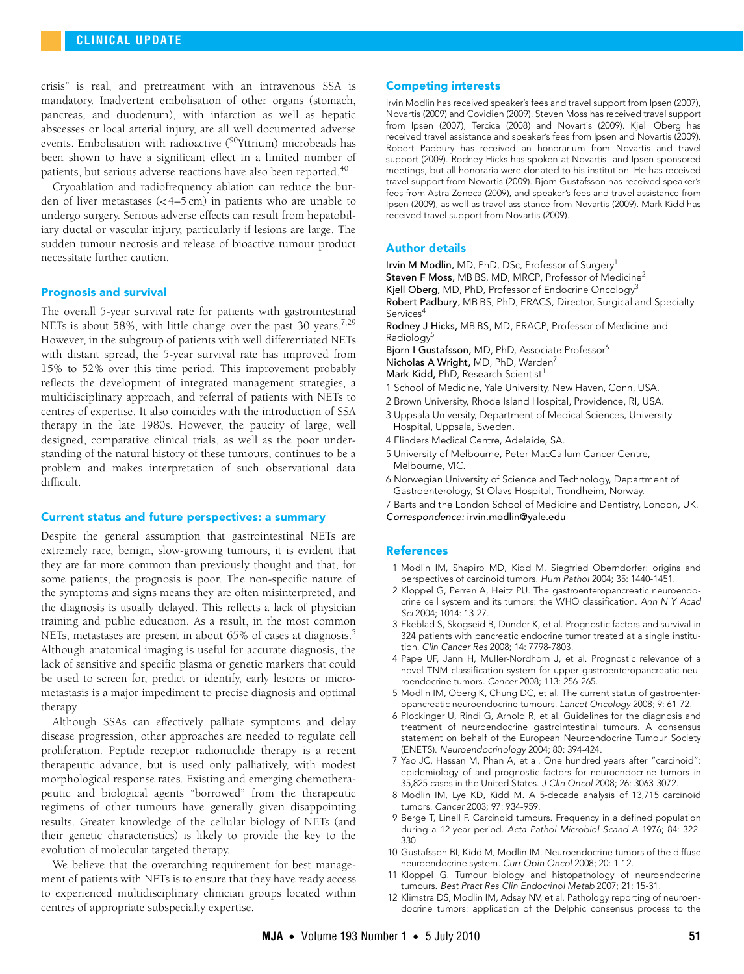crisis" is real, and pretreatment with an intravenous SSA is mandatory. Inadvertent embolisation of other organs (stomach, pancreas, and duodenum), with infarction as well as hepatic abscesses or local arterial injury, are all well documented adverse events. Embolisation with radioactive (<sup>90</sup>Yttrium) microbeads has been shown to have a significant effect in a limited number of patients, but serious adverse reactions have also been reported.<sup>[40](#page-6-0)</sup>

Cryoablation and radiofrequency ablation can reduce the burden of liver metastases (< 4–5 cm) in patients who are unable to undergo surgery. Serious adverse effects can result from hepatobiliary ductal or vascular injury, particularly if lesions are large. The sudden tumour necrosis and release of bioactive tumour product necessitate further caution.

## Prognosis and survival

The overall 5-year survival rate for patients with gastrointestinal NETs is about 58%, with little change over the past 30 years.<sup>[7](#page-5-6),[29](#page-6-15)</sup> However, in the subgroup of patients with well differentiated NETs with distant spread, the 5-year survival rate has improved from 15% to 52% over this time period. This improvement probably reflects the development of integrated management strategies, a multidisciplinary approach, and referral of patients with NETs to centres of expertise. It also coincides with the introduction of SSA therapy in the late 1980s. However, the paucity of large, well designed, comparative clinical trials, as well as the poor understanding of the natural history of these tumours, continues to be a problem and makes interpretation of such observational data difficult.

## Current status and future perspectives: a summary

Despite the general assumption that gastrointestinal NETs are extremely rare, benign, slow-growing tumours, it is evident that they are far more common than previously thought and that, for some patients, the prognosis is poor. The non-specific nature of the symptoms and signs means they are often misinterpreted, and the diagnosis is usually delayed. This reflects a lack of physician training and public education. As a result, in the most common NETs, metastases are present in about 6[5](#page-5-4)% of cases at diagnosis.<sup>5</sup> Although anatomical imaging is useful for accurate diagnosis, the lack of sensitive and specific plasma or genetic markers that could be used to screen for, predict or identify, early lesions or micrometastasis is a major impediment to precise diagnosis and optimal therapy.

Although SSAs can effectively palliate symptoms and delay disease progression, other approaches are needed to regulate cell proliferation. Peptide receptor radionuclide therapy is a recent therapeutic advance, but is used only palliatively, with modest morphological response rates. Existing and emerging chemotherapeutic and biological agents "borrowed" from the therapeutic regimens of other tumours have generally given disappointing results. Greater knowledge of the cellular biology of NETs (and their genetic characteristics) is likely to provide the key to the evolution of molecular targeted therapy.

We believe that the overarching requirement for best management of patients with NETs is to ensure that they have ready access to experienced multidisciplinary clinician groups located within centres of appropriate subspecialty expertise.

#### Competing interests

Irvin Modlin has received speaker's fees and travel support from Ipsen (2007), Novartis (2009) and Covidien (2009). Steven Moss has received travel support from Ipsen (2007), Tercica (2008) and Novartis (2009). Kjell Oberg has received travel assistance and speaker's fees from Ipsen and Novartis (2009). Robert Padbury has received an honorarium from Novartis and travel support (2009). Rodney Hicks has spoken at Novartis- and Ipsen-sponsored meetings, but all honoraria were donated to his institution. He has received travel support from Novartis (2009). Bjorn Gustafsson has received speaker's fees from Astra Zeneca (2009), and speaker's fees and travel assistance from Ipsen (2009), as well as travel assistance from Novartis (2009). Mark Kidd has received travel support from Novartis (2009).

## Author details

Irvin M Modlin, MD, PhD, DSc, Professor of Surgery<sup>1</sup> Steven F Moss, MB BS, MD, MRCP, Professor of Medicine<sup>2</sup> Kjell Oberg, MD, PhD, Professor of Endocrine Oncology<sup>3</sup> Robert Padbury, MB BS, PhD, FRACS, Director, Surgical and Specialty Services<sup>4</sup>

Rodney J Hicks, MB BS, MD, FRACP, Professor of Medicine and Radiology<sup>5</sup>

Bjorn I Gustafsson, MD, PhD, Associate Professor<sup>6</sup>

Nicholas A Wright, MD, PhD, Warden<sup>7</sup>

Mark Kidd, PhD, Research Scientist<sup>1</sup>

- 1 School of Medicine, Yale University, New Haven, Conn, USA.
- 2 Brown University, Rhode Island Hospital, Providence, RI, USA.
- 3 Uppsala University, Department of Medical Sciences, University Hospital, Uppsala, Sweden.
- 4 Flinders Medical Centre, Adelaide, SA.
- 5 University of Melbourne, Peter MacCallum Cancer Centre, Melbourne, VIC.
- 6 Norwegian University of Science and Technology, Department of Gastroenterology, St Olavs Hospital, Trondheim, Norway.

7 Barts and the London School of Medicine and Dentistry, London, UK.

Correspondence: irvin.modlin@yale.edu

## References

- <span id="page-5-0"></span>1 Modlin IM, Shapiro MD, Kidd M. Siegfried Oberndorfer: origins and perspectives of carcinoid tumors. Hum Pathol 2004; 35: 1440-1451.
- <span id="page-5-1"></span>2 Kloppel G, Perren A, Heitz PU. The gastroenteropancreatic neuroendocrine cell system and its tumors: the WHO classification. Ann N Y Acad Sci 2004; 1014: 13-27.
- <span id="page-5-2"></span>3 Ekeblad S, Skogseid B, Dunder K, et al. Prognostic factors and survival in 324 patients with pancreatic endocrine tumor treated at a single institution. Clin Cancer Res 2008; 14: 7798-7803.
- <span id="page-5-3"></span>4 Pape UF, Jann H, Muller-Nordhorn J, et al. Prognostic relevance of a novel TNM classification system for upper gastroenteropancreatic neuroendocrine tumors. Cancer 2008; 113: 256-265.
- <span id="page-5-4"></span>5 Modlin IM, Oberg K, Chung DC, et al. The current status of gastroenteropancreatic neuroendocrine tumours. Lancet Oncology 2008; 9: 61-72.
- <span id="page-5-5"></span>6 Plockinger U, Rindi G, Arnold R, et al. Guidelines for the diagnosis and treatment of neuroendocrine gastrointestinal tumours. A consensus statement on behalf of the European Neuroendocrine Tumour Society (ENETS). Neuroendocrinology 2004; 80: 394-424.
- <span id="page-5-6"></span>7 Yao JC, Hassan M, Phan A, et al. One hundred years after "carcinoid": epidemiology of and prognostic factors for neuroendocrine tumors in 35,825 cases in the United States. J Clin Oncol 2008; 26: 3063-3072.
- <span id="page-5-7"></span>8 Modlin IM, Lye KD, Kidd M. A 5-decade analysis of 13,715 carcinoid tumors. Cancer 2003; 97: 934-959.
- <span id="page-5-8"></span>9 Berge T, Linell F. Carcinoid tumours. Frequency in a defined population during a 12-year period. Acta Pathol Microbiol Scand A 1976; 84: 322- 330.
- <span id="page-5-9"></span>10 Gustafsson BI, Kidd M, Modlin IM. Neuroendocrine tumors of the diffuse neuroendocrine system. Curr Opin Oncol 2008; 20: 1-12.
- <span id="page-5-10"></span>11 Kloppel G. Tumour biology and histopathology of neuroendocrine tumours. Best Pract Res Clin Endocrinol Metab 2007; 21: 15-31.
- <span id="page-5-11"></span>12 Klimstra DS, Modlin IM, Adsay NV, et al. Pathology reporting of neuroendocrine tumors: application of the Delphic consensus process to the